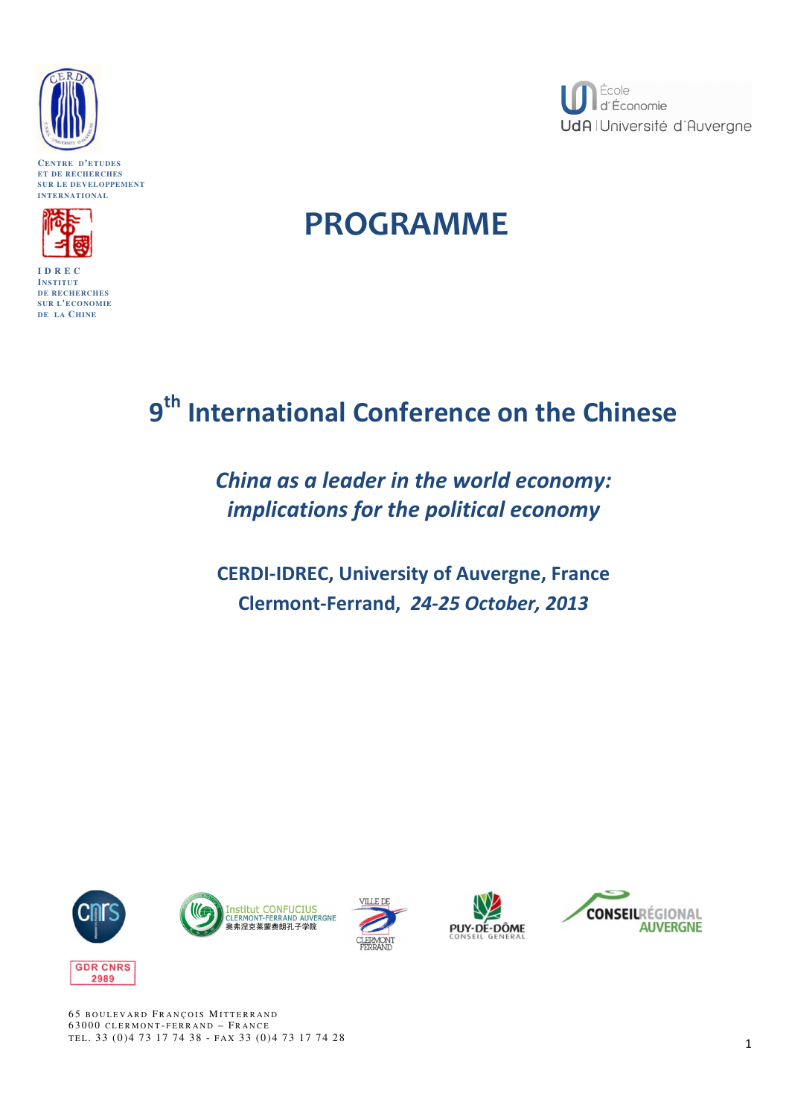

**CENTRE D'ETUDES ET DE RECHERCHES SUR LE DEVELOPPEMENT INTERNATIONAL**



**I D R E C INSTITUT DE RECHERCHES SUR L'ECONOMIE DE LA CHINE**



# PROGRAMME

# 9<sup>th</sup> International Conference on the Chinese

China as a leader in the world economy: implications for the political economy

CERDI-IDREC, University of Auvergne, France Clermont-Ferrand, 24-25 October, 2013











65 BOULEVARD FRANCOIS MITTERRAND 63000 CLERMONT-FERRAND - FRANCE TEL. 33 (0) 4 73 17 74 38 - FAX 33 (0) 4 73 17 74 28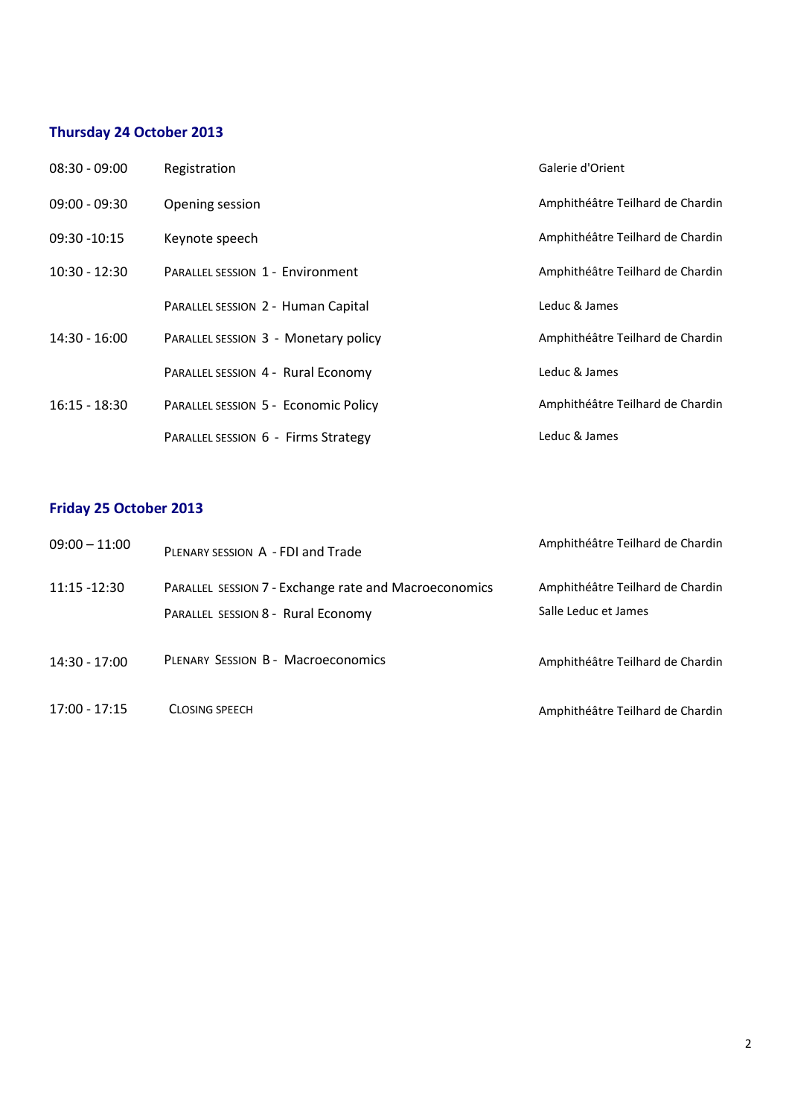# Thursday 24 October 2013

| $08:30 - 09:00$ | Registration                            | Galerie d'Orient                 |
|-----------------|-----------------------------------------|----------------------------------|
| $09:00 - 09:30$ | Opening session                         | Amphithéâtre Teilhard de Chardin |
| 09:30 -10:15    | Keynote speech                          | Amphithéâtre Teilhard de Chardin |
| $10:30 - 12:30$ | <b>PARALLEL SESSION 1 - Environment</b> | Amphithéâtre Teilhard de Chardin |
|                 | PARALLEL SESSION 2 - Human Capital      | Leduc & James                    |
| $14:30 - 16:00$ | PARALLEL SESSION 3 - Monetary policy    | Amphithéâtre Teilhard de Chardin |
|                 | PARALLEL SESSION 4 - Rural Economy      | Leduc & James                    |
| $16:15 - 18:30$ | PARALLEL SESSION 5 - Economic Policy    | Amphithéâtre Teilhard de Chardin |
|                 | PARALLEL SESSION 6 - Firms Strategy     | Leduc & James                    |

# Friday 25 October 2013

| $09:00 - 11:00$ | PLENARY SESSION A - FDI and Trade                                                           | Amphithéâtre Teilhard de Chardin                         |
|-----------------|---------------------------------------------------------------------------------------------|----------------------------------------------------------|
| 11:15 -12:30    | PARALLEL SESSION 7 - Exchange rate and Macroeconomics<br>PARALLEL SESSION 8 - Rural Economy | Amphithéâtre Teilhard de Chardin<br>Salle Leduc et James |
| $14:30 - 17:00$ | <b>PLENARY SESSION B - Macroeconomics</b>                                                   | Amphithéâtre Teilhard de Chardin                         |
| $17:00 - 17:15$ | <b>CLOSING SPEECH</b>                                                                       | Amphithéâtre Teilhard de Chardin                         |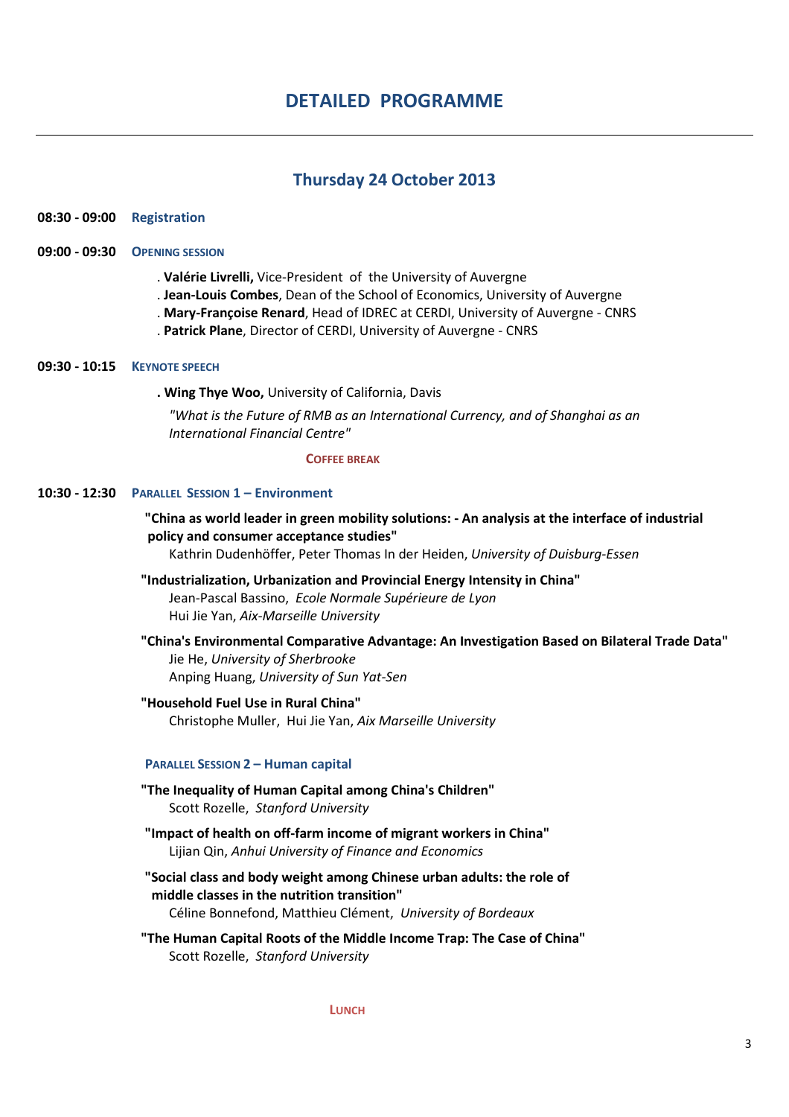# Thursday 24 October 2013

# 08:30 - 09:00 Registration

## 09:00 - 09:30 OPENING SESSION

- . Valérie Livrelli, Vice-President of the University of Auvergne
- . Jean-Louis Combes, Dean of the School of Economics, University of Auvergne
- . Mary-Françoise Renard, Head of IDREC at CERDI, University of Auvergne CNRS
- . Patrick Plane, Director of CERDI, University of Auvergne CNRS

## 09:30 - 10:15 KEYNOTE SPEECH

. Wing Thye Woo, University of California, Davis

"What is the Future of RMB as an International Currency, and of Shanghai as an International Financial Centre"

#### COFFEE BREAK

#### 10:30 - 12:30 PARALLEL SESSION 1 – Environment

# "China as world leader in green mobility solutions: - An analysis at the interface of industrial policy and consumer acceptance studies"

Kathrin Dudenhöffer, Peter Thomas In der Heiden, University of Duisburg-Essen

- "Industrialization, Urbanization and Provincial Energy Intensity in China" Jean-Pascal Bassino, Ecole Normale Supérieure de Lyon Hui Jie Yan, Aix-Marseille University
- "China's Environmental Comparative Advantage: An Investigation Based on Bilateral Trade Data" Jie He, University of Sherbrooke Anping Huang, University of Sun Yat-Sen

#### "Household Fuel Use in Rural China" Christophe Muller, Hui Jie Yan, Aix Marseille University

#### PARALLEL SESSION 2 – Human capital

- "The Inequality of Human Capital among China's Children" Scott Rozelle, Stanford University
- "Impact of health on off-farm income of migrant workers in China" Lijian Qin, Anhui University of Finance and Economics
- "Social class and body weight among Chinese urban adults: the role of middle classes in the nutrition transition" Céline Bonnefond, Matthieu Clément, University of Bordeaux
- "The Human Capital Roots of the Middle Income Trap: The Case of China" Scott Rozelle, Stanford University

#### **LUNCH**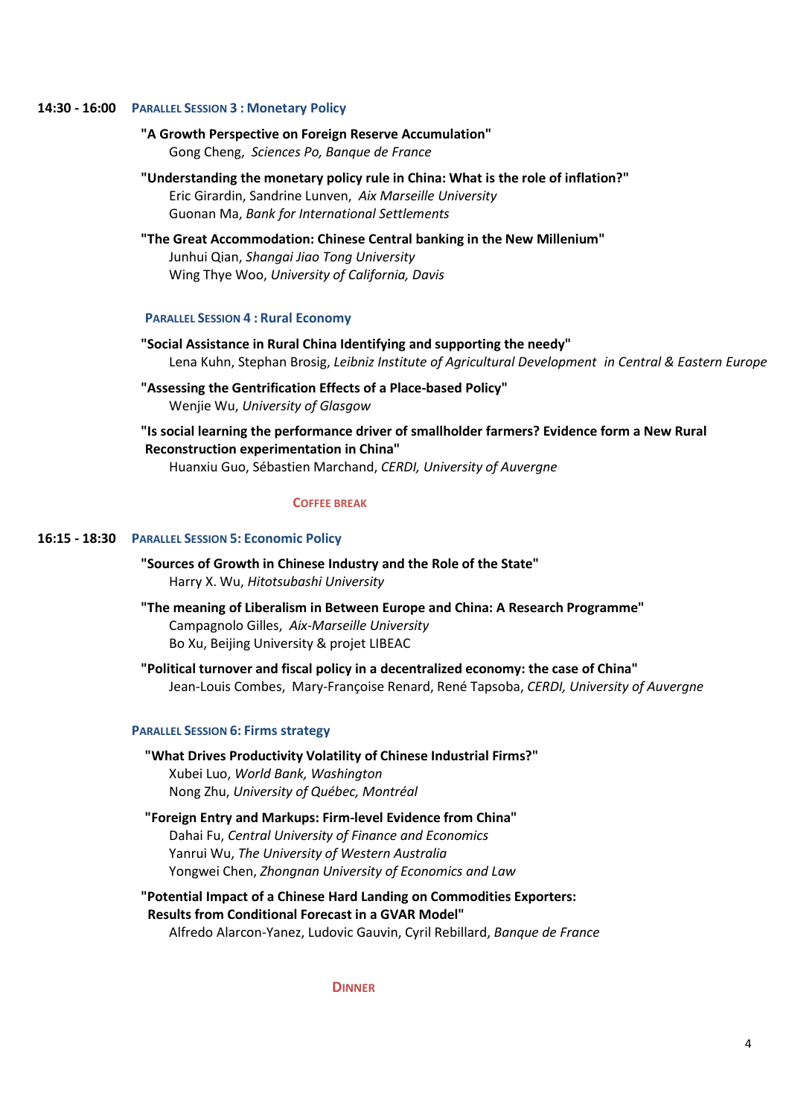#### 14:30 - 16:00 PARALLEL SESSION 3 : Monetary Policy

## "A Growth Perspective on Foreign Reserve Accumulation" Gong Cheng, Sciences Po, Banque de France

 "Understanding the monetary policy rule in China: What is the role of inflation?" Eric Girardin, Sandrine Lunven, Aix Marseille University Guonan Ma, Bank for International Settlements

# "The Great Accommodation: Chinese Central banking in the New Millenium" Junhui Qian, Shangai Jiao Tong University Wing Thye Woo, University of California, Davis

#### PARALLEL SESSION 4 : Rural Economy

## "Social Assistance in Rural China Identifying and supporting the needy" Lena Kuhn, Stephan Brosig, Leibniz Institute of Agricultural Development in Central & Eastern Europe

## "Assessing the Gentrification Effects of a Place-based Policy" Wenjie Wu, University of Glasgow

# "Is social learning the performance driver of smallholder farmers? Evidence form a New Rural Reconstruction experimentation in China"

Huanxiu Guo, Sébastien Marchand, CERDI, University of Auvergne

#### COFFEE BREAK

#### 16:15 - 18:30 PARALLEL SESSION 5: Economic Policy

"Sources of Growth in Chinese Industry and the Role of the State" Harry X. Wu, Hitotsubashi University

- "The meaning of Liberalism in Between Europe and China: A Research Programme" Campagnolo Gilles, Aix-Marseille University Bo Xu, Beijing University & projet LIBEAC
- "Political turnover and fiscal policy in a decentralized economy: the case of China" Jean-Louis Combes, Mary-Françoise Renard, René Tapsoba, CERDI, University of Auvergne

#### PARALLEL SESSION 6: Firms strategy

# "What Drives Productivity Volatility of Chinese Industrial Firms?" Xubei Luo, World Bank, Washington Nong Zhu, University of Québec, Montréal

# "Foreign Entry and Markups: Firm-level Evidence from China" Dahai Fu, Central University of Finance and Economics Yanrui Wu, The University of Western Australia Yongwei Chen, Zhongnan University of Economics and Law

"Potential Impact of a Chinese Hard Landing on Commodities Exporters: Results from Conditional Forecast in a GVAR Model" Alfredo Alarcon-Yanez, Ludovic Gauvin, Cyril Rebillard, Banque de France

**DINNER**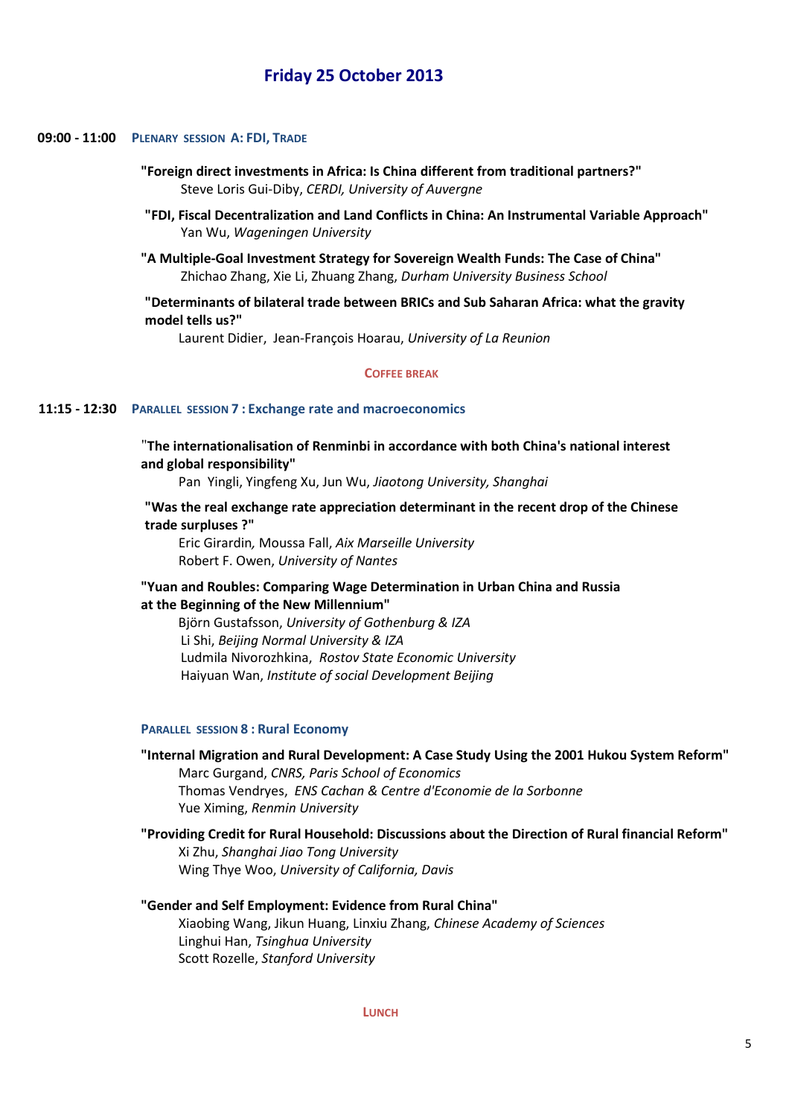# Friday 25 October 2013

#### 09:00 - 11:00 PLENARY SESSION A: FDI, TRADE

- "Foreign direct investments in Africa: Is China different from traditional partners?" Steve Loris Gui-Diby, CERDI, University of Auvergne
- "FDI, Fiscal Decentralization and Land Conflicts in China: An Instrumental Variable Approach" Yan Wu, Wageningen University
- "A Multiple-Goal Investment Strategy for Sovereign Wealth Funds: The Case of China" Zhichao Zhang, Xie Li, Zhuang Zhang, Durham University Business School

 "Determinants of bilateral trade between BRICs and Sub Saharan Africa: what the gravity model tells us?"

Laurent Didier, Jean-François Hoarau, University of La Reunion

#### COFFEE BREAK

#### 11:15 - 12:30 PARALLEL SESSION 7 : Exchange rate and macroeconomics

 "The internationalisation of Renminbi in accordance with both China's national interest and global responsibility"

Pan Yingli, Yingfeng Xu, Jun Wu, Jiaotong University, Shanghai

## "Was the real exchange rate appreciation determinant in the recent drop of the Chinese trade surpluses ?"

 Eric Girardin, Moussa Fall, Aix Marseille University Robert F. Owen, University of Nantes

## "Yuan and Roubles: Comparing Wage Determination in Urban China and Russia at the Beginning of the New Millennium"

 Björn Gustafsson, University of Gothenburg & IZA Li Shi, Beijing Normal University & IZA Ludmila Nivorozhkina, Rostov State Economic University Haiyuan Wan, Institute of social Development Beijing

#### PARALLEL SESSION 8 : Rural Economy

"Internal Migration and Rural Development: A Case Study Using the 2001 Hukou System Reform" Marc Gurgand, CNRS, Paris School of Economics Thomas Vendryes, ENS Cachan & Centre d'Economie de la Sorbonne Yue Ximing, Renmin University

"Providing Credit for Rural Household: Discussions about the Direction of Rural financial Reform" Xi Zhu, Shanghai Jiao Tong University Wing Thye Woo, University of California, Davis

# "Gender and Self Employment: Evidence from Rural China" Xiaobing Wang, Jikun Huang, Linxiu Zhang, Chinese Academy of Sciences Linghui Han, Tsinghua University Scott Rozelle, Stanford University

**LUNCH**